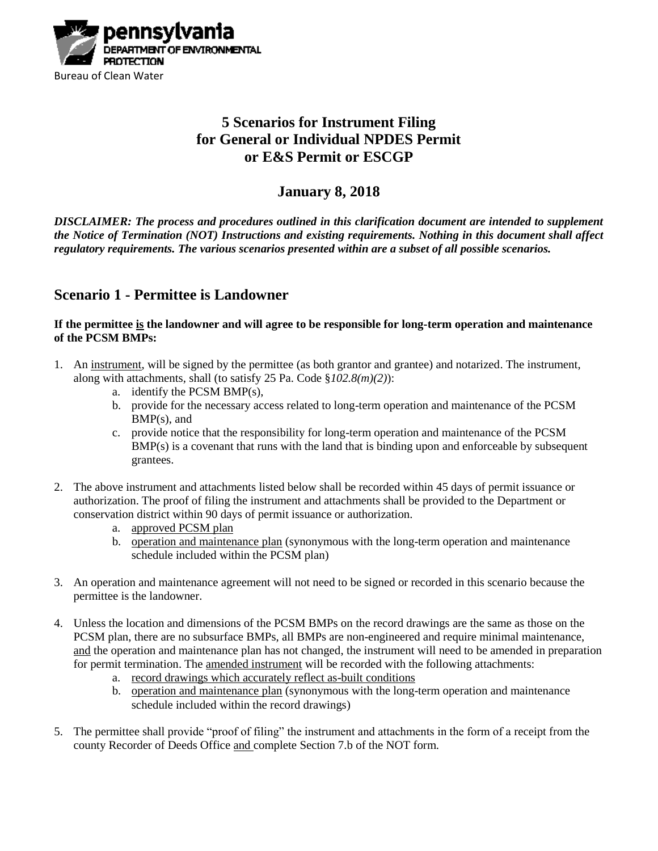

## **5 Scenarios for Instrument Filing for General or Individual NPDES Permit or E&S Permit or ESCGP**

### **January 8, 2018**

*DISCLAIMER: The process and procedures outlined in this clarification document are intended to supplement the Notice of Termination (NOT) Instructions and existing requirements. Nothing in this document shall affect regulatory requirements. The various scenarios presented within are a subset of all possible scenarios.*

### **Scenario 1 - Permittee is Landowner**

**If the permittee is the landowner and will agree to be responsible for long-term operation and maintenance of the PCSM BMPs:**

- 1. An instrument, will be signed by the permittee (as both grantor and grantee) and notarized. The instrument, along with attachments, shall (to satisfy 25 Pa. Code §*102.8(m)(2)*):
	- a. identify the PCSM BMP(s),
	- b. provide for the necessary access related to long-term operation and maintenance of the PCSM BMP(s), and
	- c. provide notice that the responsibility for long-term operation and maintenance of the PCSM BMP(s) is a covenant that runs with the land that is binding upon and enforceable by subsequent grantees.
- 2. The above instrument and attachments listed below shall be recorded within 45 days of permit issuance or authorization. The proof of filing the instrument and attachments shall be provided to the Department or conservation district within 90 days of permit issuance or authorization.
	- a. approved PCSM plan
	- b. operation and maintenance plan (synonymous with the long-term operation and maintenance schedule included within the PCSM plan)
- 3. An operation and maintenance agreement will not need to be signed or recorded in this scenario because the permittee is the landowner.
- 4. Unless the location and dimensions of the PCSM BMPs on the record drawings are the same as those on the PCSM plan, there are no subsurface BMPs, all BMPs are non-engineered and require minimal maintenance, and the operation and maintenance plan has not changed, the instrument will need to be amended in preparation for permit termination. The amended instrument will be recorded with the following attachments:
	- a. record drawings which accurately reflect as-built conditions
	- b. operation and maintenance plan (synonymous with the long-term operation and maintenance schedule included within the record drawings)
- 5. The permittee shall provide "proof of filing" the instrument and attachments in the form of a receipt from the county Recorder of Deeds Office and complete Section 7.b of the NOT form.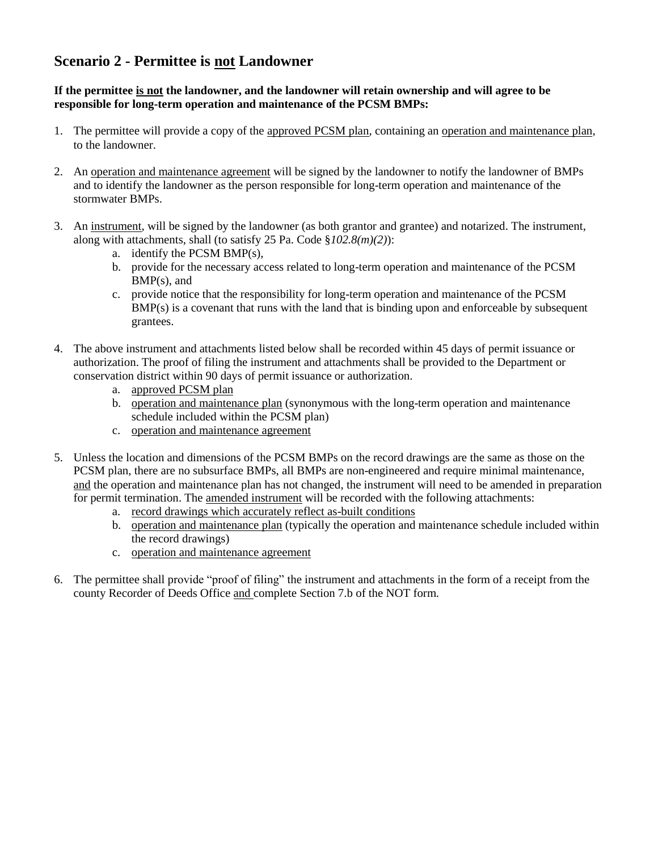# **Scenario 2 - Permittee is not Landowner**

#### **If the permittee is not the landowner, and the landowner will retain ownership and will agree to be responsible for long-term operation and maintenance of the PCSM BMPs:**

- 1. The permittee will provide a copy of the approved PCSM plan, containing an operation and maintenance plan, to the landowner.
- 2. An operation and maintenance agreement will be signed by the landowner to notify the landowner of BMPs and to identify the landowner as the person responsible for long-term operation and maintenance of the stormwater BMPs.
- 3. An instrument, will be signed by the landowner (as both grantor and grantee) and notarized. The instrument, along with attachments, shall (to satisfy 25 Pa. Code §*102.8(m)(2)*):
	- a. identify the PCSM BMP(s),
	- b. provide for the necessary access related to long-term operation and maintenance of the PCSM BMP(s), and
	- c. provide notice that the responsibility for long-term operation and maintenance of the PCSM BMP(s) is a covenant that runs with the land that is binding upon and enforceable by subsequent grantees.
- 4. The above instrument and attachments listed below shall be recorded within 45 days of permit issuance or authorization. The proof of filing the instrument and attachments shall be provided to the Department or conservation district within 90 days of permit issuance or authorization.
	- a. approved PCSM plan
	- b. operation and maintenance plan (synonymous with the long-term operation and maintenance schedule included within the PCSM plan)
	- c. operation and maintenance agreement
- 5. Unless the location and dimensions of the PCSM BMPs on the record drawings are the same as those on the PCSM plan, there are no subsurface BMPs, all BMPs are non-engineered and require minimal maintenance, and the operation and maintenance plan has not changed, the instrument will need to be amended in preparation for permit termination. The amended instrument will be recorded with the following attachments:
	- a. record drawings which accurately reflect as-built conditions
	- b. operation and maintenance plan (typically the operation and maintenance schedule included within the record drawings)
	- c. operation and maintenance agreement
- 6. The permittee shall provide "proof of filing" the instrument and attachments in the form of a receipt from the county Recorder of Deeds Office and complete Section 7.b of the NOT form.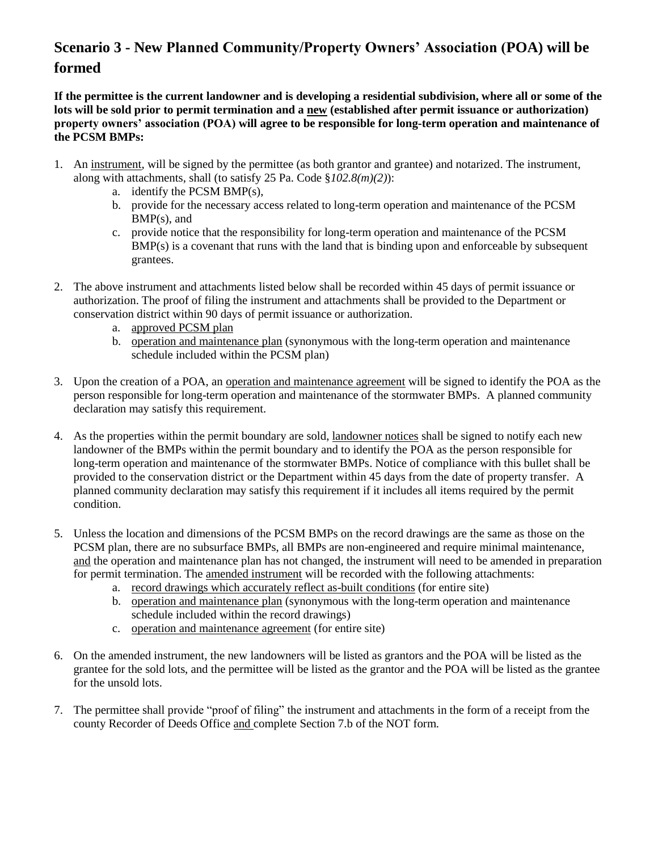# **Scenario 3 - New Planned Community/Property Owners' Association (POA) will be formed**

**If the permittee is the current landowner and is developing a residential subdivision, where all or some of the lots will be sold prior to permit termination and a new (established after permit issuance or authorization) property owners' association (POA) will agree to be responsible for long-term operation and maintenance of the PCSM BMPs:**

- 1. An instrument, will be signed by the permittee (as both grantor and grantee) and notarized. The instrument, along with attachments, shall (to satisfy 25 Pa. Code §*102.8(m)(2)*):
	- a. identify the PCSM BMP(s),
	- b. provide for the necessary access related to long-term operation and maintenance of the PCSM BMP(s), and
	- c. provide notice that the responsibility for long-term operation and maintenance of the PCSM BMP(s) is a covenant that runs with the land that is binding upon and enforceable by subsequent grantees.
- 2. The above instrument and attachments listed below shall be recorded within 45 days of permit issuance or authorization. The proof of filing the instrument and attachments shall be provided to the Department or conservation district within 90 days of permit issuance or authorization.
	- a. approved PCSM plan
	- b. operation and maintenance plan (synonymous with the long-term operation and maintenance schedule included within the PCSM plan)
- 3. Upon the creation of a POA, an operation and maintenance agreement will be signed to identify the POA as the person responsible for long-term operation and maintenance of the stormwater BMPs. A planned community declaration may satisfy this requirement.
- 4. As the properties within the permit boundary are sold, landowner notices shall be signed to notify each new landowner of the BMPs within the permit boundary and to identify the POA as the person responsible for long-term operation and maintenance of the stormwater BMPs. Notice of compliance with this bullet shall be provided to the conservation district or the Department within 45 days from the date of property transfer. A planned community declaration may satisfy this requirement if it includes all items required by the permit condition.
- 5. Unless the location and dimensions of the PCSM BMPs on the record drawings are the same as those on the PCSM plan, there are no subsurface BMPs, all BMPs are non-engineered and require minimal maintenance, and the operation and maintenance plan has not changed, the instrument will need to be amended in preparation for permit termination. The amended instrument will be recorded with the following attachments:
	- a. record drawings which accurately reflect as-built conditions (for entire site)
	- b. operation and maintenance plan (synonymous with the long-term operation and maintenance schedule included within the record drawings)
	- c. operation and maintenance agreement (for entire site)
- 6. On the amended instrument, the new landowners will be listed as grantors and the POA will be listed as the grantee for the sold lots, and the permittee will be listed as the grantor and the POA will be listed as the grantee for the unsold lots.
- 7. The permittee shall provide "proof of filing" the instrument and attachments in the form of a receipt from the county Recorder of Deeds Office and complete Section 7.b of the NOT form.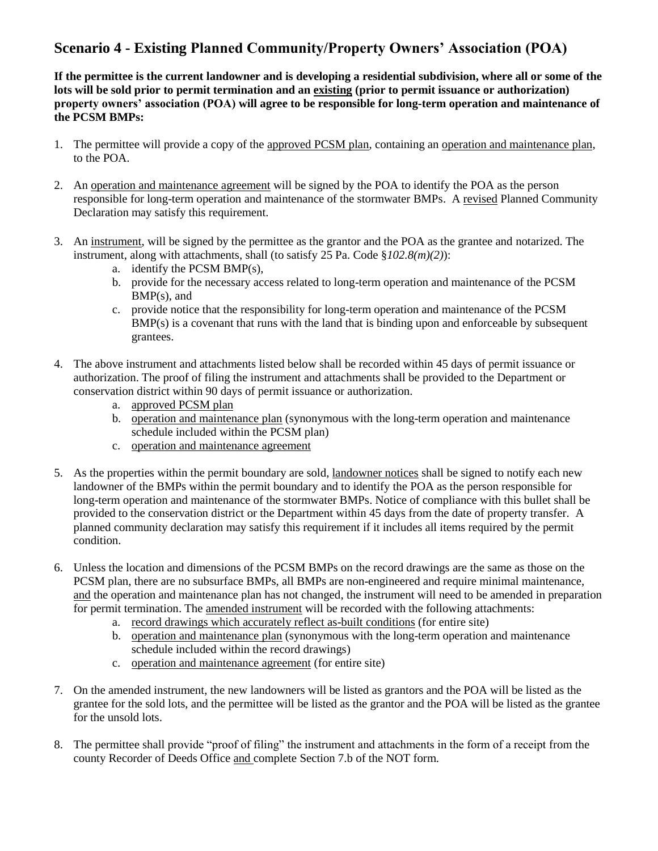## **Scenario 4 - Existing Planned Community/Property Owners' Association (POA)**

**If the permittee is the current landowner and is developing a residential subdivision, where all or some of the lots will be sold prior to permit termination and an existing (prior to permit issuance or authorization) property owners' association (POA) will agree to be responsible for long-term operation and maintenance of the PCSM BMPs:**

- 1. The permittee will provide a copy of the approved PCSM plan, containing an operation and maintenance plan, to the POA.
- 2. An operation and maintenance agreement will be signed by the POA to identify the POA as the person responsible for long-term operation and maintenance of the stormwater BMPs. A revised Planned Community Declaration may satisfy this requirement.
- 3. An instrument, will be signed by the permittee as the grantor and the POA as the grantee and notarized. The instrument, along with attachments, shall (to satisfy 25 Pa. Code §*102.8(m)(2)*):
	- a. identify the PCSM BMP(s),
	- b. provide for the necessary access related to long-term operation and maintenance of the PCSM BMP(s), and
	- c. provide notice that the responsibility for long-term operation and maintenance of the PCSM BMP(s) is a covenant that runs with the land that is binding upon and enforceable by subsequent grantees.
- 4. The above instrument and attachments listed below shall be recorded within 45 days of permit issuance or authorization. The proof of filing the instrument and attachments shall be provided to the Department or conservation district within 90 days of permit issuance or authorization.
	- a. approved PCSM plan
	- b. operation and maintenance plan (synonymous with the long-term operation and maintenance schedule included within the PCSM plan)
	- c. operation and maintenance agreement
- 5. As the properties within the permit boundary are sold, landowner notices shall be signed to notify each new landowner of the BMPs within the permit boundary and to identify the POA as the person responsible for long-term operation and maintenance of the stormwater BMPs. Notice of compliance with this bullet shall be provided to the conservation district or the Department within 45 days from the date of property transfer. A planned community declaration may satisfy this requirement if it includes all items required by the permit condition.
- 6. Unless the location and dimensions of the PCSM BMPs on the record drawings are the same as those on the PCSM plan, there are no subsurface BMPs, all BMPs are non-engineered and require minimal maintenance, and the operation and maintenance plan has not changed, the instrument will need to be amended in preparation for permit termination. The amended instrument will be recorded with the following attachments:
	- a. record drawings which accurately reflect as-built conditions (for entire site)
	- b. operation and maintenance plan (synonymous with the long-term operation and maintenance schedule included within the record drawings)
	- c. operation and maintenance agreement (for entire site)
- 7. On the amended instrument, the new landowners will be listed as grantors and the POA will be listed as the grantee for the sold lots, and the permittee will be listed as the grantor and the POA will be listed as the grantee for the unsold lots.
- 8. The permittee shall provide "proof of filing" the instrument and attachments in the form of a receipt from the county Recorder of Deeds Office and complete Section 7.b of the NOT form.